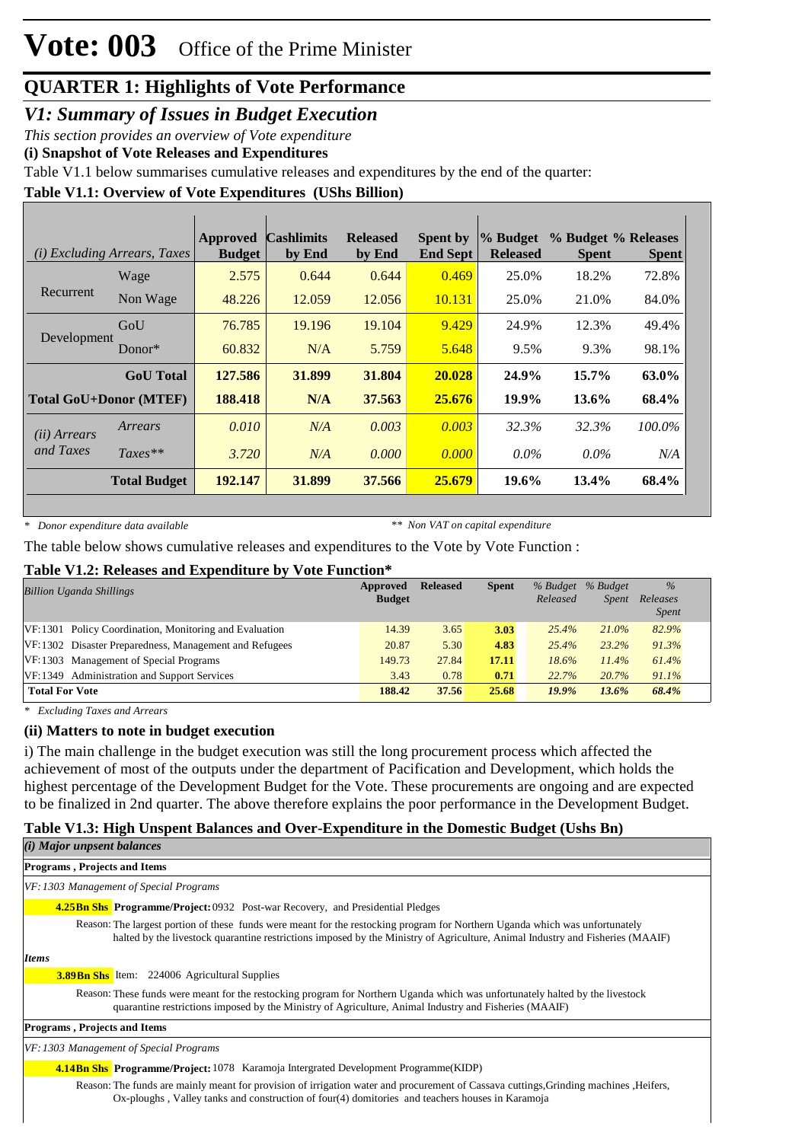*V1: Summary of Issues in Budget Execution*

*This section provides an overview of Vote expenditure* 

**(i) Snapshot of Vote Releases and Expenditures**

Table V1.1 below summarises cumulative releases and expenditures by the end of the quarter:

### **Table V1.1: Overview of Vote Expenditures (UShs Billion)**

|                               | ( <i>i</i> ) Excluding Arrears, Taxes | Approved<br><b>Budget</b> | <b>Cashlimits</b><br>by End | <b>Released</b><br>by End | <b>Spent by</b><br><b>End Sept</b> | % Budget<br><b>Released</b> | % Budget % Releases<br><b>Spent</b> | <b>Spent</b> |
|-------------------------------|---------------------------------------|---------------------------|-----------------------------|---------------------------|------------------------------------|-----------------------------|-------------------------------------|--------------|
|                               | Wage                                  | 2.575                     | 0.644                       | 0.644                     | 0.469                              | 25.0%                       | 18.2%                               | 72.8%        |
| Recurrent                     | Non Wage                              | 48.226                    | 12.059                      | 12.056                    | 10.131                             | 25.0%                       | 21.0%                               | 84.0%        |
| Development                   | GoU                                   | 76.785                    | 19.196                      | 19.104                    | 9.429                              | 24.9%                       | 12.3%                               | 49.4%        |
|                               | Donor $*$                             | 60.832                    | N/A                         | 5.759                     | 5.648                              | 9.5%                        | 9.3%                                | 98.1%        |
|                               | <b>GoU</b> Total                      | 127.586                   | 31.899                      | 31.804                    | 20.028                             | 24.9%                       | 15.7%                               | 63.0%        |
| <b>Total GoU+Donor (MTEF)</b> |                                       | 188.418                   | N/A                         | 37.563                    | 25.676                             | 19.9%                       | 13.6%                               | 68.4%        |
| (ii) Arrears                  | Arrears                               | 0.010                     | N/A                         | 0.003                     | 0.003                              | 32.3%                       | 32.3%                               | 100.0%       |
| and Taxes                     | $Taxes**$                             | 3.720                     | N/A                         | 0.000                     | 0.000                              | $0.0\%$                     | $0.0\%$                             | N/A          |
|                               | <b>Total Budget</b>                   | 192.147                   | 31.899                      | 37.566                    | 25.679                             | 19.6%                       | 13.4%                               | 68.4%        |

*\* Donor expenditure data available*

*\*\* Non VAT on capital expenditure*

The table below shows cumulative releases and expenditures to the Vote by Vote Function :

#### **Table V1.2: Releases and Expenditure by Vote Function\***

| <b>Billion Uganda Shillings</b>                        | Approved<br><b>Budget</b> | <b>Released</b> | <b>Spent</b> | % Budget % Budget<br>Released | <b>Spent</b> | $\%$<br>Releases<br><i>Spent</i> |
|--------------------------------------------------------|---------------------------|-----------------|--------------|-------------------------------|--------------|----------------------------------|
| VF:1301 Policy Coordination, Monitoring and Evaluation | 14.39                     | 3.65            | 3.03         | 25.4%                         | $21.0\%$     | 82.9%                            |
| VF:1302 Disaster Preparedness, Management and Refugees | 20.87                     | 5.30            | 4.83         | 25.4%                         | 23.2%        | 91.3%                            |
| VF:1303 Management of Special Programs                 | 149.73                    | 27.84           | 17.11        | $18.6\%$                      | $11.4\%$     | 61.4%                            |
| VF:1349 Administration and Support Services            | 3.43                      | 0.78            | 0.71         | 22.7%                         | 20.7%        | 91.1%                            |
| <b>Total For Vote</b>                                  | 188.42                    | 37.56           | 25.68        | $19.9\%$                      | $13.6\%$     | 68.4%                            |

*\* Excluding Taxes and Arrears*

#### **(ii) Matters to note in budget execution**

i) The main challenge in the budget execution was still the long procurement process which affected the achievement of most of the outputs under the department of Pacification and Development, which holds the highest percentage of the Development Budget for the Vote. These procurements are ongoing and are expected to be finalized in 2nd quarter. The above therefore explains the poor performance in the Development Budget.

### **Table V1.3: High Unspent Balances and Over-Expenditure in the Domestic Budget (Ushs Bn)**

Ox-ploughs , Valley tanks and construction of four(4) domitories and teachers houses in Karamoja

| $(i)$ Major unpsent balances                                                                                                                                                                                                                                  |
|---------------------------------------------------------------------------------------------------------------------------------------------------------------------------------------------------------------------------------------------------------------|
| <b>Programs, Projects and Items</b>                                                                                                                                                                                                                           |
| VF: 1303 Management of Special Programs                                                                                                                                                                                                                       |
| <b>4.25Bn Shs Programme/Project: 0932 Post-war Recovery, and Presidential Pledges</b>                                                                                                                                                                         |
| Reason: The largest portion of these funds were meant for the restocking program for Northern Uganda which was unfortunately<br>halted by the livestock quarantine restrictions imposed by the Ministry of Agriculture, Animal Industry and Fisheries (MAAIF) |
| <b>Items</b>                                                                                                                                                                                                                                                  |
| <b>3.89Bn Shs</b> Item: 224006 Agricultural Supplies                                                                                                                                                                                                          |
| Reason: These funds were meant for the restocking program for Northern Uganda which was unfortunately halted by the livestock<br>quarantine restrictions imposed by the Ministry of Agriculture, Animal Industry and Fisheries (MAAIF)                        |
| <b>Programs, Projects and Items</b>                                                                                                                                                                                                                           |
| VF: 1303 Management of Special Programs                                                                                                                                                                                                                       |
| <b>4.14Bn Shs Programme/Project:</b> 1078 Karamoja Intergrated Development Programme(KIDP)                                                                                                                                                                    |
| Reason: The funds are mainly meant for provision of irrigation water and procurement of Cassava cuttings, Grinding machines, Heifers,                                                                                                                         |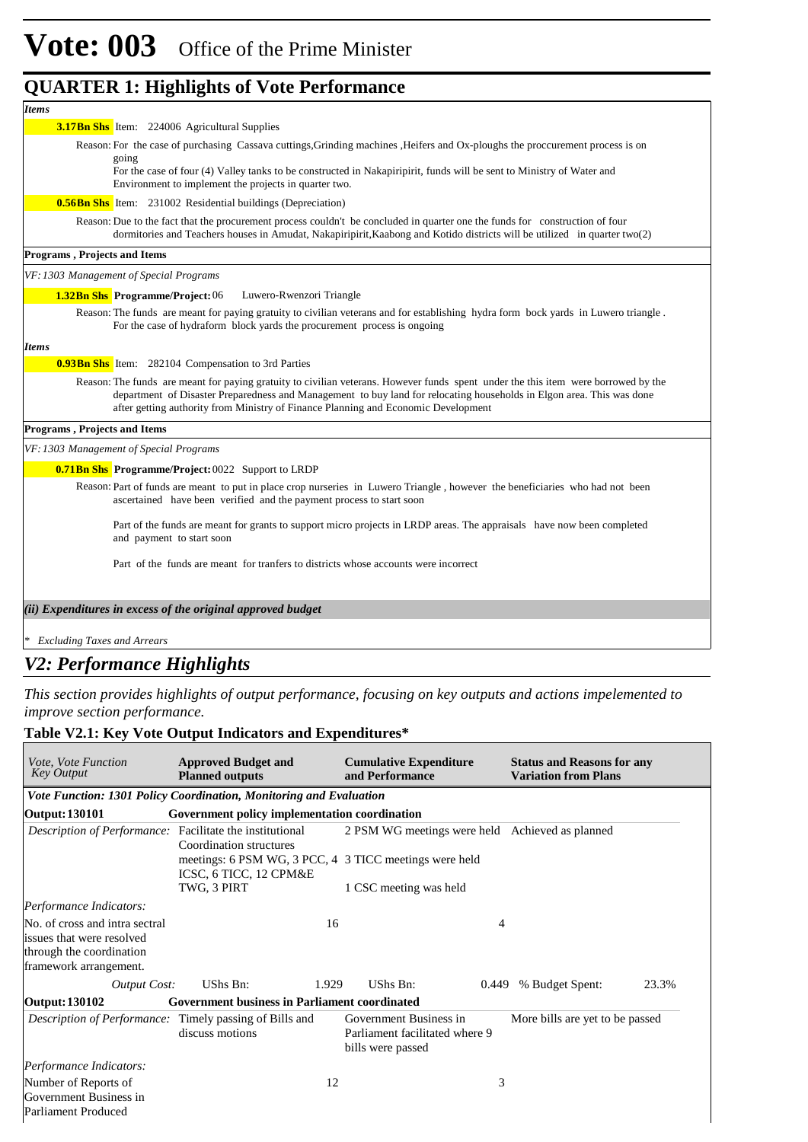| <b>Items</b>                                                                                                                                                                                                                                                                                                                                      |
|---------------------------------------------------------------------------------------------------------------------------------------------------------------------------------------------------------------------------------------------------------------------------------------------------------------------------------------------------|
| <b>3.17Bn Shs</b> Item: 224006 Agricultural Supplies                                                                                                                                                                                                                                                                                              |
| Reason: For the case of purchasing Cassava cuttings, Grinding machines , Heifers and Ox-ploughs the proccurement process is on                                                                                                                                                                                                                    |
| going<br>For the case of four (4) Valley tanks to be constructed in Nakapiripirit, funds will be sent to Ministry of Water and<br>Environment to implement the projects in quarter two.                                                                                                                                                           |
| <b>0.56Bn Shs</b> Item: 231002 Residential buildings (Depreciation)                                                                                                                                                                                                                                                                               |
| Reason: Due to the fact that the procurement process couldn't be concluded in quarter one the funds for construction of four<br>dormitories and Teachers houses in Amudat, Nakapiripirit, Kaabong and Kotido districts will be utilized in quarter two(2)                                                                                         |
| <b>Programs, Projects and Items</b>                                                                                                                                                                                                                                                                                                               |
| VF: 1303 Management of Special Programs                                                                                                                                                                                                                                                                                                           |
| <b>1.32Bn Shs</b> Programme/Project: 06<br>Luwero-Rwenzori Triangle                                                                                                                                                                                                                                                                               |
| Reason: The funds are meant for paying gratuity to civilian veterans and for establishing hydra form bock yards in Luwero triangle.<br>For the case of hydraform block yards the procurement process is ongoing                                                                                                                                   |
| <b>Items</b>                                                                                                                                                                                                                                                                                                                                      |
| <b>0.93Bn Shs</b> Item: 282104 Compensation to 3rd Parties                                                                                                                                                                                                                                                                                        |
| Reason: The funds are meant for paying gratuity to civilian veterans. However funds spent under the this item were borrowed by the<br>department of Disaster Preparedness and Management to buy land for relocating households in Elgon area. This was done<br>after getting authority from Ministry of Finance Planning and Economic Development |
| <b>Programs, Projects and Items</b>                                                                                                                                                                                                                                                                                                               |
| VF: 1303 Management of Special Programs                                                                                                                                                                                                                                                                                                           |
| <b>0.71Bn Shs</b> Programme/Project: 0022 Support to LRDP                                                                                                                                                                                                                                                                                         |
| Reason: Part of funds are meant to put in place crop nurseries in Luwero Triangle, however the beneficiaries who had not been<br>ascertained have been verified and the payment process to start soon                                                                                                                                             |
| Part of the funds are meant for grants to support micro projects in LRDP areas. The appraisals have now been completed<br>and payment to start soon                                                                                                                                                                                               |
| Part of the funds are meant for transfers to districts whose accounts were incorrect                                                                                                                                                                                                                                                              |
| (ii) Expenditures in excess of the original approved budget                                                                                                                                                                                                                                                                                       |
|                                                                                                                                                                                                                                                                                                                                                   |

*\* Excluding Taxes and Arrears*

### *V2: Performance Highlights*

*This section provides highlights of output performance, focusing on key outputs and actions impelemented to improve section performance.*

### **Table V2.1: Key Vote Output Indicators and Expenditures\***

| <i>Vote, Vote Function</i><br><b>Key Output</b>                    | <b>Approved Budget and</b><br><b>Planned outputs</b>                             | <b>Cumulative Expenditure</b><br>and Performance                              | <b>Status and Reasons for any</b><br><b>Variation from Plans</b> |  |  |  |  |  |  |
|--------------------------------------------------------------------|----------------------------------------------------------------------------------|-------------------------------------------------------------------------------|------------------------------------------------------------------|--|--|--|--|--|--|
| Vote Function: 1301 Policy Coordination, Monitoring and Evaluation |                                                                                  |                                                                               |                                                                  |  |  |  |  |  |  |
| <b>Output: 130101</b>                                              | Government policy implementation coordination                                    |                                                                               |                                                                  |  |  |  |  |  |  |
| <i>Description of Performance:</i> Facilitate the institutional    | Coordination structures                                                          | 2 PSM WG meetings were held Achieved as planned                               |                                                                  |  |  |  |  |  |  |
|                                                                    | meetings: 6 PSM WG, 3 PCC, 4 3 TICC meetings were held<br>ICSC, 6 TICC, 12 CPM&E |                                                                               |                                                                  |  |  |  |  |  |  |
|                                                                    | TWG, 3 PIRT                                                                      | 1 CSC meeting was held                                                        |                                                                  |  |  |  |  |  |  |
| Performance Indicators:                                            |                                                                                  |                                                                               |                                                                  |  |  |  |  |  |  |
| No. of cross and intra sectral                                     |                                                                                  | 16                                                                            | 4                                                                |  |  |  |  |  |  |
| issues that were resolved                                          |                                                                                  |                                                                               |                                                                  |  |  |  |  |  |  |
| through the coordination                                           |                                                                                  |                                                                               |                                                                  |  |  |  |  |  |  |
| framework arrangement.                                             |                                                                                  |                                                                               |                                                                  |  |  |  |  |  |  |
| <b>Output Cost:</b>                                                | UShs Bn:<br>1.929                                                                | UShs Bn:<br>0.449                                                             | % Budget Spent:<br>23.3%                                         |  |  |  |  |  |  |
| Output: 130102                                                     | <b>Government business in Parliament coordinated</b>                             |                                                                               |                                                                  |  |  |  |  |  |  |
| <i>Description of Performance:</i> Timely passing of Bills and     | discuss motions                                                                  | Government Business in<br>Parliament facilitated where 9<br>bills were passed | More bills are yet to be passed                                  |  |  |  |  |  |  |
| Performance Indicators:                                            |                                                                                  |                                                                               |                                                                  |  |  |  |  |  |  |
| Number of Reports of                                               |                                                                                  | 12                                                                            | 3                                                                |  |  |  |  |  |  |
| Government Business in                                             |                                                                                  |                                                                               |                                                                  |  |  |  |  |  |  |
| Parliament Produced                                                |                                                                                  |                                                                               |                                                                  |  |  |  |  |  |  |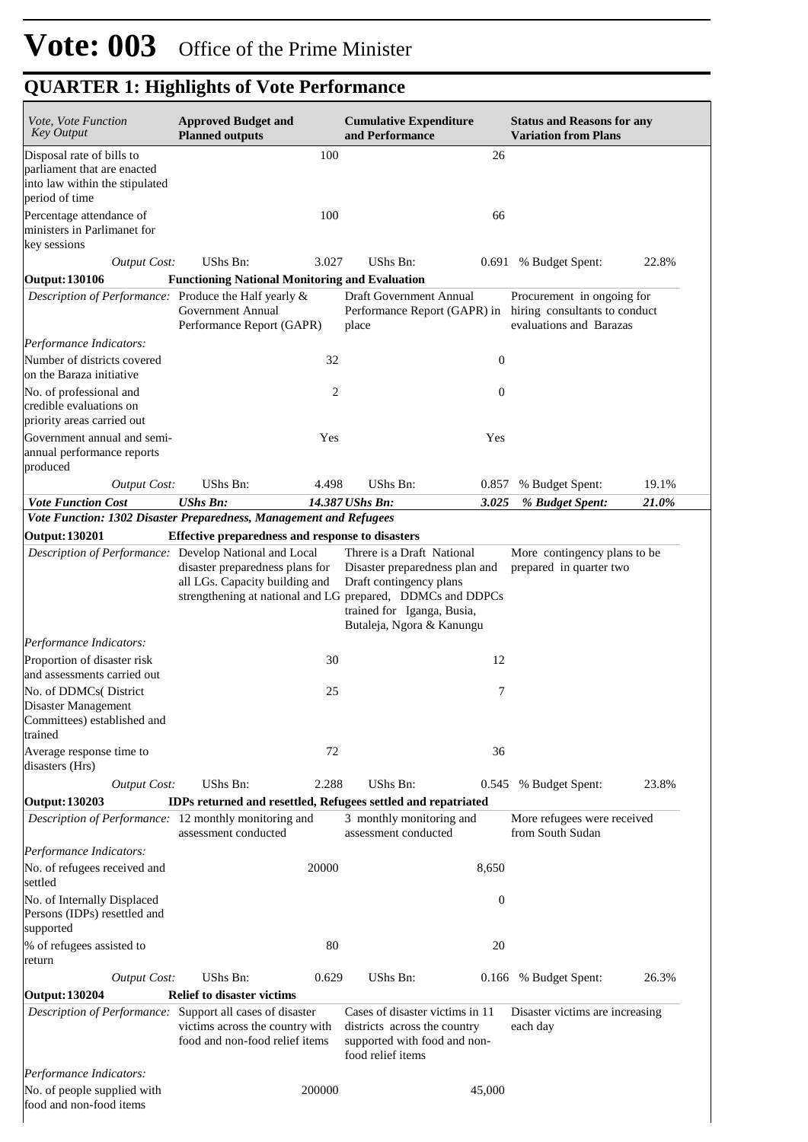| <b>Approved Budget and</b><br>Vote, Vote Function<br><b>Key Output</b><br><b>Planned outputs</b> |                                                                                                            | <b>Cumulative Expenditure</b><br>and Performance                                                                                                                                   | <b>Status and Reasons for any</b><br><b>Variation from Plans</b>                       |  |  |
|--------------------------------------------------------------------------------------------------|------------------------------------------------------------------------------------------------------------|------------------------------------------------------------------------------------------------------------------------------------------------------------------------------------|----------------------------------------------------------------------------------------|--|--|
| Disposal rate of bills to                                                                        | 100                                                                                                        |                                                                                                                                                                                    | 26                                                                                     |  |  |
| parliament that are enacted<br>into law within the stipulated                                    |                                                                                                            |                                                                                                                                                                                    |                                                                                        |  |  |
| period of time<br>Percentage attendance of                                                       | 100                                                                                                        |                                                                                                                                                                                    | 66                                                                                     |  |  |
| ministers in Parlimanet for<br>key sessions                                                      |                                                                                                            |                                                                                                                                                                                    |                                                                                        |  |  |
| <b>Output Cost:</b>                                                                              | UShs Bn:<br>3.027                                                                                          | UShs Bn:                                                                                                                                                                           | 22.8%<br>0.691 % Budget Spent:                                                         |  |  |
| <b>Output: 130106</b>                                                                            | <b>Functioning National Monitoring and Evaluation</b>                                                      |                                                                                                                                                                                    |                                                                                        |  |  |
| Description of Performance: Produce the Half yearly &                                            | Government Annual<br>Performance Report (GAPR)                                                             | Draft Government Annual<br>Performance Report (GAPR) in<br>place                                                                                                                   | Procurement in ongoing for<br>hiring consultants to conduct<br>evaluations and Barazas |  |  |
| Performance Indicators:                                                                          |                                                                                                            |                                                                                                                                                                                    |                                                                                        |  |  |
| Number of districts covered<br>on the Baraza initiative                                          | 32                                                                                                         |                                                                                                                                                                                    | $\boldsymbol{0}$                                                                       |  |  |
| No. of professional and<br>credible evaluations on<br>priority areas carried out                 |                                                                                                            | 2                                                                                                                                                                                  | $\boldsymbol{0}$                                                                       |  |  |
| Government annual and semi-<br>annual performance reports<br>produced                            | Yes                                                                                                        |                                                                                                                                                                                    | Yes                                                                                    |  |  |
| <b>Output Cost:</b>                                                                              | <b>UShs Bn:</b><br>4.498                                                                                   | <b>UShs Bn:</b>                                                                                                                                                                    | 19.1%<br>0.857<br>% Budget Spent:                                                      |  |  |
| <b>Vote Function Cost</b>                                                                        | <b>UShs Bn:</b>                                                                                            | 14.387 UShs Bn:                                                                                                                                                                    | 3.025<br>21.0%<br>% Budget Spent:                                                      |  |  |
|                                                                                                  | Vote Function: 1302 Disaster Preparedness, Management and Refugees                                         |                                                                                                                                                                                    |                                                                                        |  |  |
| <b>Output: 130201</b>                                                                            | Effective preparedness and response to disasters<br>Description of Performance: Develop National and Local | Threre is a Draft National                                                                                                                                                         | More contingency plans to be                                                           |  |  |
|                                                                                                  | disaster preparedness plans for<br>all LGs. Capacity building and                                          | Disaster preparedness plan and<br>Draft contingency plans<br>strengthening at national and LG prepared, DDMCs and DDPCs<br>trained for Iganga, Busia,<br>Butaleja, Ngora & Kanungu | prepared in quarter two                                                                |  |  |
| Performance Indicators:                                                                          |                                                                                                            |                                                                                                                                                                                    |                                                                                        |  |  |
| Proportion of disaster risk<br>and assessments carried out                                       |                                                                                                            | 30                                                                                                                                                                                 | 12                                                                                     |  |  |
| No. of DDMCs(District<br>Disaster Management<br>Committees) established and<br>trained           | 25                                                                                                         |                                                                                                                                                                                    | 7                                                                                      |  |  |
| Average response time to<br>disasters (Hrs)                                                      | 72                                                                                                         |                                                                                                                                                                                    | 36                                                                                     |  |  |
| <b>Output Cost:</b>                                                                              | UShs Bn:<br>2.288                                                                                          | UShs Bn:                                                                                                                                                                           | 23.8%<br>0.545<br>% Budget Spent:                                                      |  |  |
| <b>Output: 130203</b><br>Description of Performance: 12 monthly monitoring and                   | IDPs returned and resettled, Refugees settled and repatriated                                              | 3 monthly monitoring and                                                                                                                                                           | More refugees were received                                                            |  |  |
|                                                                                                  | assessment conducted                                                                                       | assessment conducted                                                                                                                                                               | from South Sudan                                                                       |  |  |
| Performance Indicators:<br>No. of refugees received and<br>settled                               | 20000                                                                                                      | 8,650                                                                                                                                                                              |                                                                                        |  |  |
| No. of Internally Displaced<br>Persons (IDPs) resettled and<br>supported                         |                                                                                                            |                                                                                                                                                                                    | $\boldsymbol{0}$                                                                       |  |  |
| % of refugees assisted to<br>return                                                              | 80                                                                                                         |                                                                                                                                                                                    | 20                                                                                     |  |  |
| <b>Output Cost:</b>                                                                              | UShs Bn:<br>0.629                                                                                          | UShs Bn:                                                                                                                                                                           | % Budget Spent:<br>26.3%<br>0.166                                                      |  |  |
| <b>Output: 130204</b>                                                                            | <b>Relief to disaster victims</b>                                                                          | Cases of disaster victims in 11                                                                                                                                                    |                                                                                        |  |  |
| Description of Performance: Support all cases of disaster                                        | victims across the country with<br>food and non-food relief items                                          | districts across the country<br>supported with food and non-<br>food relief items                                                                                                  | Disaster victims are increasing<br>each day                                            |  |  |
| Performance Indicators:                                                                          |                                                                                                            |                                                                                                                                                                                    |                                                                                        |  |  |
| No. of people supplied with<br>food and non-food items                                           | 200000                                                                                                     | 45,000                                                                                                                                                                             |                                                                                        |  |  |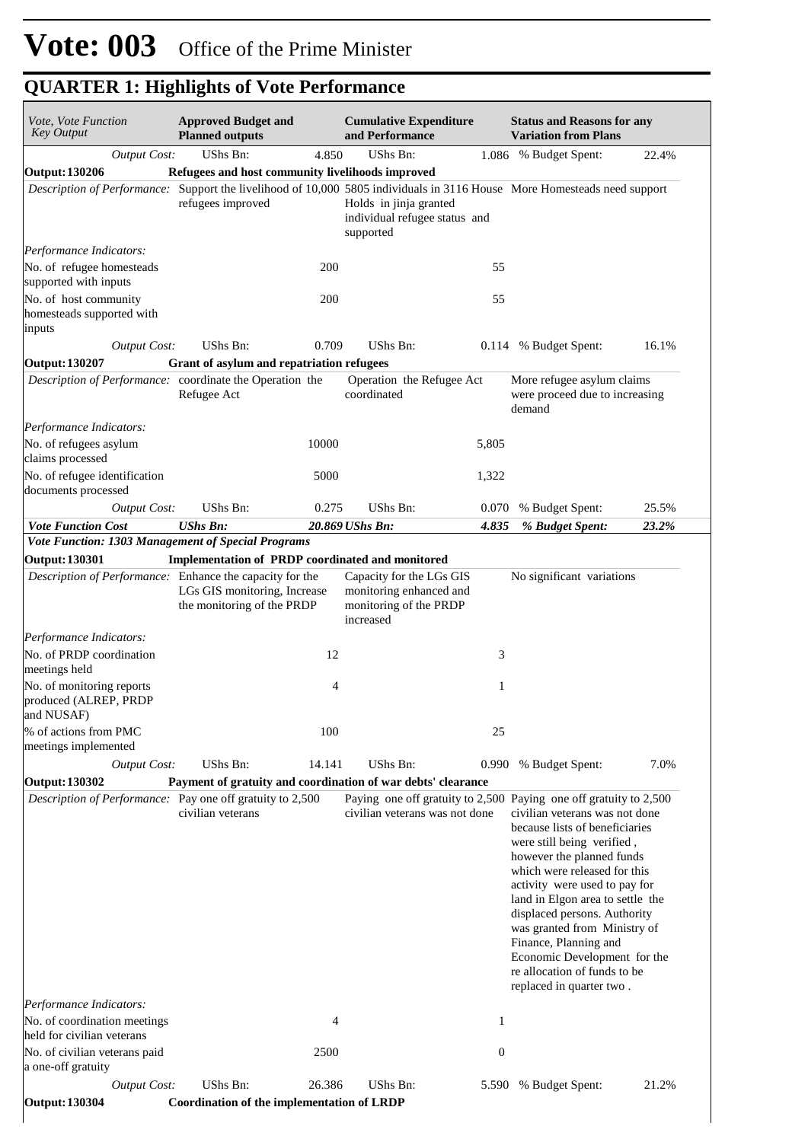| Vote, Vote Function<br><b>Key Output</b>                                                    | <b>Approved Budget and</b><br><b>Planned outputs</b>                 |                | <b>Cumulative Expenditure</b><br>and Performance                                           | <b>Status and Reasons for any</b><br><b>Variation from Plans</b>                                                                                                                                                                                                                                                                                                                                                                                                                           |
|---------------------------------------------------------------------------------------------|----------------------------------------------------------------------|----------------|--------------------------------------------------------------------------------------------|--------------------------------------------------------------------------------------------------------------------------------------------------------------------------------------------------------------------------------------------------------------------------------------------------------------------------------------------------------------------------------------------------------------------------------------------------------------------------------------------|
| <b>Output Cost:</b>                                                                         | UShs Bn:                                                             | 4.850          | UShs Bn:                                                                                   | 1.086 % Budget Spent:<br>22.4%                                                                                                                                                                                                                                                                                                                                                                                                                                                             |
| Output: 130206                                                                              | Refugees and host community livelihoods improved                     |                |                                                                                            |                                                                                                                                                                                                                                                                                                                                                                                                                                                                                            |
|                                                                                             | refugees improved                                                    |                | Holds in jinja granted<br>individual refugee status and<br>supported                       | Description of Performance: Support the livelihood of 10,000 5805 individuals in 3116 House More Homesteads need support                                                                                                                                                                                                                                                                                                                                                                   |
| Performance Indicators:                                                                     |                                                                      |                |                                                                                            |                                                                                                                                                                                                                                                                                                                                                                                                                                                                                            |
| No. of refugee homesteads<br>supported with inputs                                          |                                                                      | 200            | 55                                                                                         |                                                                                                                                                                                                                                                                                                                                                                                                                                                                                            |
| No. of host community<br>homesteads supported with<br>inputs                                |                                                                      | 200            | 55                                                                                         |                                                                                                                                                                                                                                                                                                                                                                                                                                                                                            |
| <b>Output Cost:</b>                                                                         | UShs Bn:                                                             | 0.709          | UShs Bn:<br>0.114                                                                          | 16.1%<br>% Budget Spent:                                                                                                                                                                                                                                                                                                                                                                                                                                                                   |
| Output: 130207                                                                              | Grant of asylum and repatriation refugees                            |                |                                                                                            |                                                                                                                                                                                                                                                                                                                                                                                                                                                                                            |
| Description of Performance: coordinate the Operation the                                    | Refugee Act                                                          |                | Operation the Refugee Act<br>coordinated                                                   | More refugee asylum claims<br>were proceed due to increasing<br>demand                                                                                                                                                                                                                                                                                                                                                                                                                     |
| Performance Indicators:<br>No. of refugees asylum<br>claims processed                       |                                                                      | 10000          | 5,805                                                                                      |                                                                                                                                                                                                                                                                                                                                                                                                                                                                                            |
| No. of refugee identification<br>documents processed                                        |                                                                      | 5000           | 1,322                                                                                      |                                                                                                                                                                                                                                                                                                                                                                                                                                                                                            |
| <b>Output Cost:</b>                                                                         | UShs Bn:                                                             | 0.275          | UShs Bn:<br>0.070                                                                          | 25.5%<br>% Budget Spent:                                                                                                                                                                                                                                                                                                                                                                                                                                                                   |
| <b>Vote Function Cost</b>                                                                   | <b>UShs Bn:</b>                                                      |                | 20.869 UShs Bn:<br>4.835                                                                   | % Budget Spent:<br>23.2%                                                                                                                                                                                                                                                                                                                                                                                                                                                                   |
| Vote Function: 1303 Management of Special Programs                                          |                                                                      |                |                                                                                            |                                                                                                                                                                                                                                                                                                                                                                                                                                                                                            |
| <b>Output: 130301</b>                                                                       | Implementation of PRDP coordinated and monitored                     |                |                                                                                            |                                                                                                                                                                                                                                                                                                                                                                                                                                                                                            |
| Description of Performance: Enhance the capacity for the                                    | LGs GIS monitoring, Increase<br>the monitoring of the PRDP           |                | Capacity for the LGs GIS<br>monitoring enhanced and<br>monitoring of the PRDP<br>increased | No significant variations                                                                                                                                                                                                                                                                                                                                                                                                                                                                  |
| Performance Indicators:                                                                     |                                                                      |                |                                                                                            |                                                                                                                                                                                                                                                                                                                                                                                                                                                                                            |
| No. of PRDP coordination<br>meetings held                                                   |                                                                      | 12             |                                                                                            | 3                                                                                                                                                                                                                                                                                                                                                                                                                                                                                          |
| No. of monitoring reports<br>produced (ALREP, PRDP<br>and NUSAF)                            |                                                                      | $\overline{4}$ |                                                                                            | 1                                                                                                                                                                                                                                                                                                                                                                                                                                                                                          |
| % of actions from PMC<br>meetings implemented                                               |                                                                      | 100            | 25                                                                                         |                                                                                                                                                                                                                                                                                                                                                                                                                                                                                            |
| <b>Output Cost:</b>                                                                         | UShs Bn:                                                             | 14.141         | UShs Bn:<br>0.990                                                                          | 7.0%<br>% Budget Spent:                                                                                                                                                                                                                                                                                                                                                                                                                                                                    |
| Output: 130302                                                                              |                                                                      |                | Payment of gratuity and coordination of war debts' clearance                               |                                                                                                                                                                                                                                                                                                                                                                                                                                                                                            |
| <i>Description of Performance:</i> Pay one off gratuity to 2,500<br>Performance Indicators: | civilian veterans                                                    |                | civilian veterans was not done                                                             | Paying one off gratuity to 2,500 Paying one off gratuity to 2,500<br>civilian veterans was not done<br>because lists of beneficiaries<br>were still being verified,<br>however the planned funds<br>which were released for this<br>activity were used to pay for<br>land in Elgon area to settle the<br>displaced persons. Authority<br>was granted from Ministry of<br>Finance, Planning and<br>Economic Development for the<br>re allocation of funds to be<br>replaced in quarter two. |
| No. of coordination meetings                                                                |                                                                      | 4              |                                                                                            | 1                                                                                                                                                                                                                                                                                                                                                                                                                                                                                          |
| held for civilian veterans                                                                  |                                                                      |                |                                                                                            |                                                                                                                                                                                                                                                                                                                                                                                                                                                                                            |
| No. of civilian veterans paid<br>a one-off gratuity                                         |                                                                      | 2500           | $\boldsymbol{0}$                                                                           |                                                                                                                                                                                                                                                                                                                                                                                                                                                                                            |
| <b>Output Cost:</b><br><b>Output: 130304</b>                                                | <b>UShs Bn:</b><br><b>Coordination of the implementation of LRDP</b> | 26.386         | <b>UShs Bn:</b><br>5.590                                                                   | 21.2%<br>% Budget Spent:                                                                                                                                                                                                                                                                                                                                                                                                                                                                   |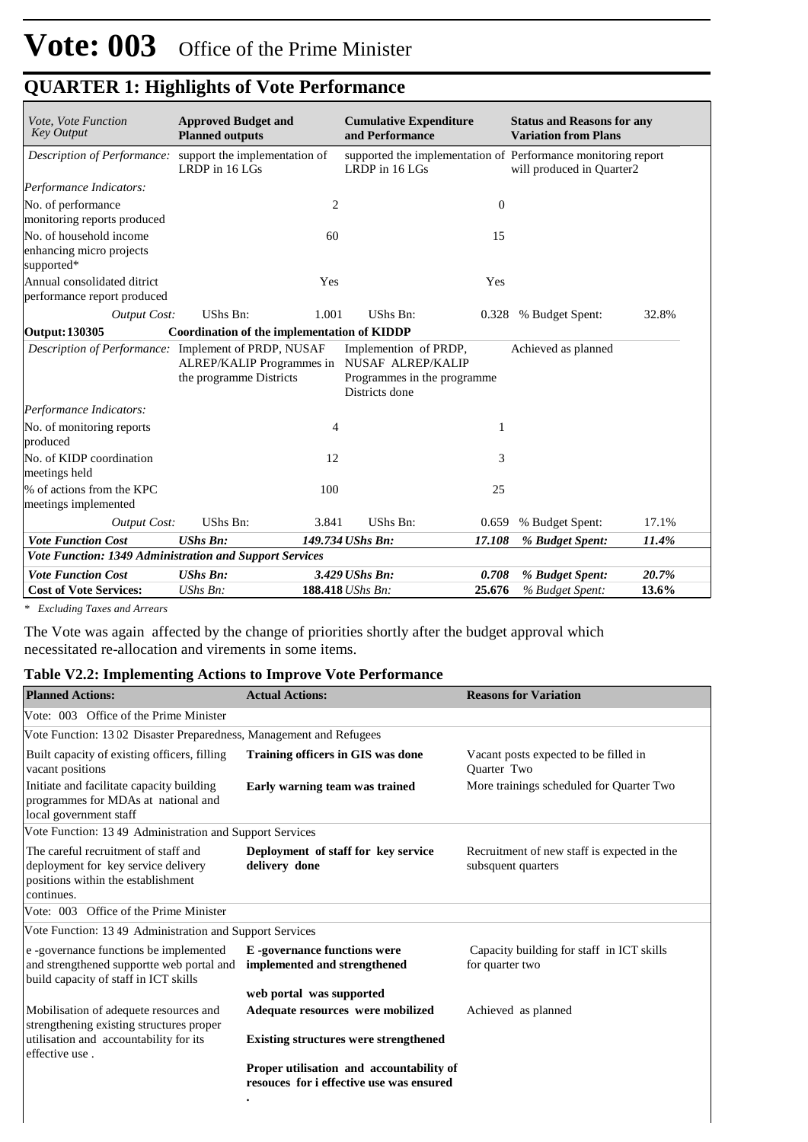| Vote, Vote Function                                               | <b>Approved Budget and</b>                           |                | <b>Cumulative Expenditure</b>                                                               |                | <b>Status and Reasons for any</b>                                                          |       |  |
|-------------------------------------------------------------------|------------------------------------------------------|----------------|---------------------------------------------------------------------------------------------|----------------|--------------------------------------------------------------------------------------------|-------|--|
| <b>Key Output</b>                                                 | and Performance<br><b>Planned outputs</b>            |                |                                                                                             |                | <b>Variation from Plans</b>                                                                |       |  |
| Description of Performance: support the implementation of         | LRDP in 16 LGs                                       |                | LRDP in 16 LGs                                                                              |                | supported the implementation of Performance monitoring report<br>will produced in Quarter2 |       |  |
| Performance Indicators:                                           |                                                      |                |                                                                                             |                |                                                                                            |       |  |
| No. of performance<br>monitoring reports produced                 |                                                      | $\overline{2}$ |                                                                                             | $\overline{0}$ |                                                                                            |       |  |
| No. of household income<br>enhancing micro projects<br>supported* |                                                      | 60             |                                                                                             | 15             |                                                                                            |       |  |
| Annual consolidated ditrict<br>performance report produced        |                                                      | Yes            |                                                                                             | Yes            |                                                                                            |       |  |
| <b>Output Cost:</b>                                               | UShs Bn:                                             | 1.001          | UShs Bn:                                                                                    |                | 0.328 % Budget Spent:                                                                      | 32.8% |  |
| <b>Output: 130305</b>                                             | <b>Coordination of the implementation of KIDDP</b>   |                |                                                                                             |                |                                                                                            |       |  |
| Description of Performance: Implement of PRDP, NUSAF              | ALREP/KALIP Programmes in<br>the programme Districts |                | Implemention of PRDP,<br>NUSAF ALREP/KALIP<br>Programmes in the programme<br>Districts done |                | Achieved as planned                                                                        |       |  |
| Performance Indicators:                                           |                                                      |                |                                                                                             |                |                                                                                            |       |  |
| No. of monitoring reports<br>produced                             |                                                      | 4              |                                                                                             | 1              |                                                                                            |       |  |
| No. of KIDP coordination<br>meetings held                         |                                                      | 12             |                                                                                             | 3              |                                                                                            |       |  |
| % of actions from the KPC<br>meetings implemented                 |                                                      | 100            |                                                                                             | 25             |                                                                                            |       |  |
| <b>Output Cost:</b>                                               | UShs Bn:                                             | 3.841          | UShs Bn:                                                                                    | 0.659          | % Budget Spent:                                                                            | 17.1% |  |
| <b>Vote Function Cost</b>                                         | <b>UShs Bn:</b>                                      |                | 149.734 UShs Bn:                                                                            | 17.108         | % Budget Spent:                                                                            | 11.4% |  |
| Vote Function: 1349 Administration and Support Services           |                                                      |                |                                                                                             |                |                                                                                            |       |  |
| <b>Vote Function Cost</b>                                         | <b>UShs Bn:</b>                                      |                | 3.429 UShs Bn:                                                                              | 0.708          | % Budget Spent:                                                                            | 20.7% |  |
| <b>Cost of Vote Services:</b>                                     | $UShs Bn$ :                                          |                | 188.418 UShs Bn:                                                                            | 25.676         | % Budget Spent:                                                                            | 13.6% |  |

*\* Excluding Taxes and Arrears*

The Vote was again affected by the change of priorities shortly after the budget approval which necessitated re-allocation and virements in some items.

#### **Table V2.2: Implementing Actions to Improve Vote Performance**

| <b>Planned Actions:</b>                                                                                                         | <b>Actual Actions:</b>                                                               | <b>Reasons for Variation</b>                                      |
|---------------------------------------------------------------------------------------------------------------------------------|--------------------------------------------------------------------------------------|-------------------------------------------------------------------|
| Vote: 003 Office of the Prime Minister                                                                                          |                                                                                      |                                                                   |
| Vote Function: 1302 Disaster Preparedness, Management and Refugees                                                              |                                                                                      |                                                                   |
| Built capacity of existing officers, filling<br>vacant positions                                                                | Training officers in GIS was done                                                    | Vacant posts expected to be filled in<br><b>Ouarter Two</b>       |
| Initiate and facilitate capacity building<br>programmes for MDAs at national and<br>local government staff                      | Early warning team was trained                                                       | More trainings scheduled for Quarter Two                          |
| Vote Function: 13 49 Administration and Support Services                                                                        |                                                                                      |                                                                   |
| The careful recruitment of staff and<br>deployment for key service delivery<br>positions within the establishment<br>continues. | Deployment of staff for key service<br>delivery done                                 | Recruitment of new staff is expected in the<br>subsquent quarters |
| Vote: 003 Office of the Prime Minister                                                                                          |                                                                                      |                                                                   |
| Vote Function: 1349 Administration and Support Services                                                                         |                                                                                      |                                                                   |
| e -governance functions be implemented<br>and strengthened supportte web portal and<br>build capacity of staff in ICT skills    | <b>E</b> -governance functions were<br>implemented and strengthened                  | Capacity building for staff in ICT skills<br>for quarter two      |
|                                                                                                                                 | web portal was supported                                                             |                                                                   |
| Mobilisation of adequete resources and<br>strengthening existing structures proper                                              | Adequate resources were mobilized                                                    | Achieved as planned                                               |
| utilisation and accountability for its<br>effective use.                                                                        | <b>Existing structures were strengthened</b>                                         |                                                                   |
|                                                                                                                                 | Proper utilisation and accountability of<br>resouces for i effective use was ensured |                                                                   |
|                                                                                                                                 | $\bullet$                                                                            |                                                                   |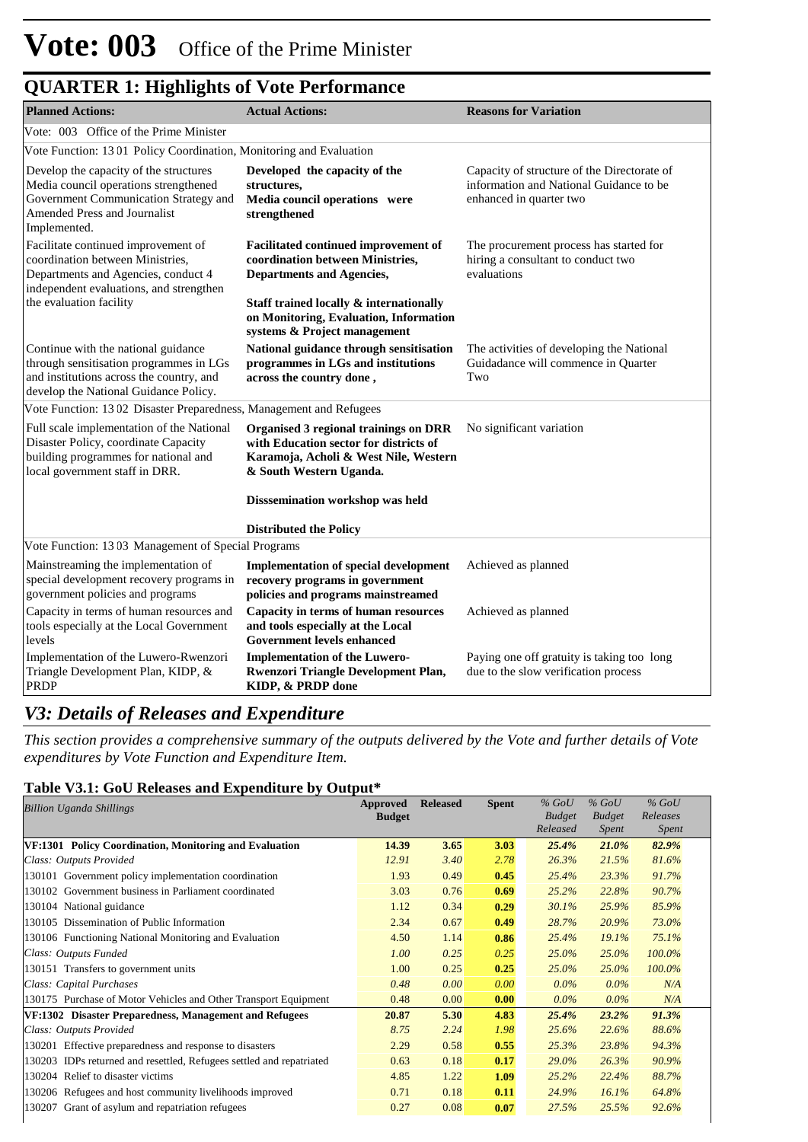| <b>QUARTER 1: Highlights of Vote Performance</b> |  |
|--------------------------------------------------|--|
|--------------------------------------------------|--|

| <b>Planned Actions:</b>                                                                                                                                                              | <b>Actual Actions:</b>                                                                                                                                  | <b>Reasons for Variation</b>                                                                                      |
|--------------------------------------------------------------------------------------------------------------------------------------------------------------------------------------|---------------------------------------------------------------------------------------------------------------------------------------------------------|-------------------------------------------------------------------------------------------------------------------|
| Vote: 003 Office of the Prime Minister                                                                                                                                               |                                                                                                                                                         |                                                                                                                   |
| Vote Function: 1301 Policy Coordination, Monitoring and Evaluation                                                                                                                   |                                                                                                                                                         |                                                                                                                   |
| Develop the capacity of the structures<br>Media council operations strengthened<br>Government Communication Strategy and<br>Amended Press and Journalist<br>Implemented.             | Developed the capacity of the<br>structures,<br>Media council operations were<br>strengthened                                                           | Capacity of structure of the Directorate of<br>information and National Guidance to be<br>enhanced in quarter two |
| Facilitate continued improvement of<br>coordination between Ministries.<br>Departments and Agencies, conduct 4<br>independent evaluations, and strengthen<br>the evaluation facility | Facilitated continued improvement of<br>coordination between Ministries.<br><b>Departments and Agencies,</b><br>Staff trained locally & internationally | The procurement process has started for<br>hiring a consultant to conduct two<br>evaluations                      |
|                                                                                                                                                                                      | on Monitoring, Evaluation, Information<br>systems & Project management                                                                                  |                                                                                                                   |
| Continue with the national guidance<br>through sensitisation programmes in LGs<br>and institutions across the country, and<br>develop the National Guidance Policy.                  | National guidance through sensitisation<br>programmes in LGs and institutions<br>across the country done,                                               | The activities of developing the National<br>Guidadance will commence in Quarter<br>Two                           |
| Vote Function: 1302 Disaster Preparedness, Management and Refugees                                                                                                                   |                                                                                                                                                         |                                                                                                                   |
| Full scale implementation of the National<br>Disaster Policy, coordinate Capacity<br>building programmes for national and<br>local government staff in DRR.                          | Organised 3 regional trainings on DRR<br>with Education sector for districts of<br>Karamoja, Acholi & West Nile, Western<br>& South Western Uganda.     | No significant variation                                                                                          |
|                                                                                                                                                                                      | Disssemination workshop was held                                                                                                                        |                                                                                                                   |
|                                                                                                                                                                                      | <b>Distributed the Policy</b>                                                                                                                           |                                                                                                                   |
| Vote Function: 1303 Management of Special Programs                                                                                                                                   |                                                                                                                                                         |                                                                                                                   |
| Mainstreaming the implementation of<br>special development recovery programs in<br>government policies and programs                                                                  | <b>Implementation of special development</b><br>recovery programs in government<br>policies and programs mainstreamed                                   | Achieved as planned                                                                                               |
| Capacity in terms of human resources and<br>tools especially at the Local Government<br>levels                                                                                       | Capacity in terms of human resources<br>and tools especially at the Local<br><b>Government levels enhanced</b>                                          | Achieved as planned                                                                                               |
| Implementation of the Luwero-Rwenzori<br>Triangle Development Plan, KIDP, &<br><b>PRDP</b>                                                                                           | <b>Implementation of the Luwero-</b><br>Rwenzori Triangle Development Plan,<br>KIDP, & PRDP done                                                        | Paying one off gratuity is taking too long<br>due to the slow verification process                                |

### *V3: Details of Releases and Expenditure*

*This section provides a comprehensive summary of the outputs delivered by the Vote and further details of Vote expenditures by Vote Function and Expenditure Item.*

#### **Table V3.1: GoU Releases and Expenditure by Output\***

|                                                                      | Approved      | <b>Released</b> | <b>Spent</b> | $%$ GoU       | $%$ GoU       | $%$ GoU      |
|----------------------------------------------------------------------|---------------|-----------------|--------------|---------------|---------------|--------------|
| <b>Billion Uganda Shillings</b>                                      | <b>Budget</b> |                 |              | <b>Budget</b> | <b>Budget</b> | Releases     |
|                                                                      |               |                 |              | Released      | Spent         | <i>Spent</i> |
| VF:1301 Policy Coordination, Monitoring and Evaluation               | 14.39         | 3.65            | 3.03         | 25.4%         | $21.0\%$      | 82.9%        |
| Class: Outputs Provided                                              | 12.91         | 3.40            | 2.78         | 26.3%         | 21.5%         | 81.6%        |
| 130101 Government policy implementation coordination                 | 1.93          | 0.49            | 0.45         | 25.4%         | 23.3%         | 91.7%        |
| 130102 Government business in Parliament coordinated                 | 3.03          | 0.76            | 0.69         | 25.2%         | 22.8%         | 90.7%        |
| 130104 National guidance                                             | 1.12          | 0.34            | 0.29         | 30.1%         | 25.9%         | 85.9%        |
| 130105 Dissemination of Public Information                           | 2.34          | 0.67            | 0.49         | 28.7%         | 20.9%         | 73.0%        |
| 130106 Functioning National Monitoring and Evaluation                | 4.50          | 1.14            | 0.86         | 25.4%         | 19.1%         | 75.1%        |
| Class: Outputs Funded                                                | 1.00          | 0.25            | 0.25         | 25.0%         | 25.0%         | 100.0%       |
| 130151 Transfers to government units                                 | 1.00          | 0.25            | 0.25         | 25.0%         | 25.0%         | 100.0%       |
| Class: Capital Purchases                                             | 0.48          | 0.00            | 0.00         | $0.0\%$       | $0.0\%$       | N/A          |
| 130175 Purchase of Motor Vehicles and Other Transport Equipment      | 0.48          | 0.00            | 0.00         | $0.0\%$       | $0.0\%$       | N/A          |
| VF:1302 Disaster Preparedness, Management and Refugees               | 20.87         | 5.30            | 4.83         | 25.4%         | 23.2%         | 91.3%        |
| Class: Outputs Provided                                              | 8.75          | 2.24            | 1.98         | 25.6%         | 22.6%         | 88.6%        |
| 130201 Effective preparedness and response to disasters              | 2.29          | 0.58            | 0.55         | 25.3%         | 23.8%         | 94.3%        |
| 130203 IDPs returned and resettled, Refugees settled and repatriated | 0.63          | 0.18            | 0.17         | 29.0%         | 26.3%         | 90.9%        |
| 130204 Relief to disaster victims                                    | 4.85          | 1.22            | 1.09         | 25.2%         | 22.4%         | 88.7%        |
| 130206 Refugees and host community livelihoods improved              | 0.71          | 0.18            | 0.11         | 24.9%         | 16.1%         | 64.8%        |
| 130207 Grant of asylum and repatriation refugees                     | 0.27          | 0.08            | 0.07         | 27.5%         | 25.5%         | 92.6%        |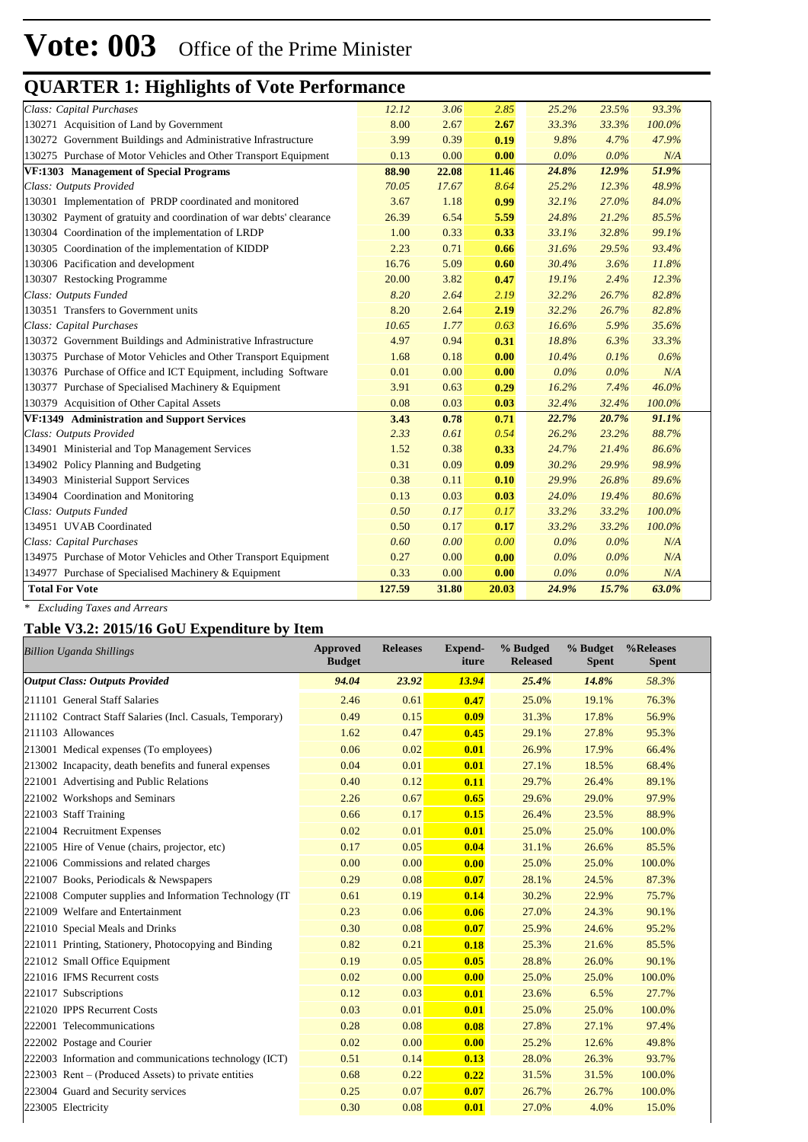| Class: Capital Purchases                                            | 12.12  | 3.06  | 2.85  | 25.2%   | 23.5%   | 93.3%  |  |
|---------------------------------------------------------------------|--------|-------|-------|---------|---------|--------|--|
| 130271 Acquisition of Land by Government                            | 8.00   | 2.67  | 2.67  | 33.3%   | 33.3%   | 100.0% |  |
| 130272 Government Buildings and Administrative Infrastructure       | 3.99   | 0.39  | 0.19  | 9.8%    | 4.7%    | 47.9%  |  |
| 130275 Purchase of Motor Vehicles and Other Transport Equipment     | 0.13   | 0.00  | 0.00  | $0.0\%$ | $0.0\%$ | N/A    |  |
| <b>VF:1303</b> Management of Special Programs                       | 88.90  | 22.08 | 11.46 | 24.8%   | 12.9%   | 51.9%  |  |
| Class: Outputs Provided                                             | 70.05  | 17.67 | 8.64  | 25.2%   | 12.3%   | 48.9%  |  |
| 130301 Implementation of PRDP coordinated and monitored             | 3.67   | 1.18  | 0.99  | 32.1%   | 27.0%   | 84.0%  |  |
| 130302 Payment of gratuity and coordination of war debts' clearance | 26.39  | 6.54  | 5.59  | 24.8%   | 21.2%   | 85.5%  |  |
| 130304 Coordination of the implementation of LRDP                   | 1.00   | 0.33  | 0.33  | 33.1%   | 32.8%   | 99.1%  |  |
| 130305 Coordination of the implementation of KIDDP                  | 2.23   | 0.71  | 0.66  | 31.6%   | 29.5%   | 93.4%  |  |
| 130306 Pacification and development                                 | 16.76  | 5.09  | 0.60  | 30.4%   | 3.6%    | 11.8%  |  |
| 130307 Restocking Programme                                         | 20.00  | 3.82  | 0.47  | 19.1%   | 2.4%    | 12.3%  |  |
| Class: Outputs Funded                                               | 8.20   | 2.64  | 2.19  | 32.2%   | 26.7%   | 82.8%  |  |
| 130351 Transfers to Government units                                | 8.20   | 2.64  | 2.19  | 32.2%   | 26.7%   | 82.8%  |  |
| Class: Capital Purchases                                            | 10.65  | 1.77  | 0.63  | 16.6%   | 5.9%    | 35.6%  |  |
| 130372 Government Buildings and Administrative Infrastructure       | 4.97   | 0.94  | 0.31  | 18.8%   | 6.3%    | 33.3%  |  |
| 130375 Purchase of Motor Vehicles and Other Transport Equipment     | 1.68   | 0.18  | 0.00  | 10.4%   | 0.1%    | 0.6%   |  |
| 130376 Purchase of Office and ICT Equipment, including Software     | 0.01   | 0.00  | 0.00  | $0.0\%$ | $0.0\%$ | N/A    |  |
| 130377 Purchase of Specialised Machinery & Equipment                | 3.91   | 0.63  | 0.29  | 16.2%   | 7.4%    | 46.0%  |  |
| 130379 Acquisition of Other Capital Assets                          | 0.08   | 0.03  | 0.03  | 32.4%   | 32.4%   | 100.0% |  |
| VF:1349 Administration and Support Services                         | 3.43   | 0.78  | 0.71  | 22.7%   | 20.7%   | 91.1%  |  |
| Class: Outputs Provided                                             | 2.33   | 0.61  | 0.54  | 26.2%   | 23.2%   | 88.7%  |  |
| 134901 Ministerial and Top Management Services                      | 1.52   | 0.38  | 0.33  | 24.7%   | 21.4%   | 86.6%  |  |
| 134902 Policy Planning and Budgeting                                | 0.31   | 0.09  | 0.09  | 30.2%   | 29.9%   | 98.9%  |  |
| 134903 Ministerial Support Services                                 | 0.38   | 0.11  | 0.10  | 29.9%   | 26.8%   | 89.6%  |  |
| 134904 Coordination and Monitoring                                  | 0.13   | 0.03  | 0.03  | 24.0%   | 19.4%   | 80.6%  |  |
| Class: Outputs Funded                                               | 0.50   | 0.17  | 0.17  | 33.2%   | 33.2%   | 100.0% |  |
| 134951 UVAB Coordinated                                             | 0.50   | 0.17  | 0.17  | 33.2%   | 33.2%   | 100.0% |  |
| Class: Capital Purchases                                            | 0.60   | 0.00  | 0.00  | $0.0\%$ | 0.0%    | N/A    |  |
| 134975 Purchase of Motor Vehicles and Other Transport Equipment     | 0.27   | 0.00  | 0.00  | $0.0\%$ | 0.0%    | N/A    |  |
| 134977 Purchase of Specialised Machinery & Equipment                | 0.33   | 0.00  | 0.00  | $0.0\%$ | 0.0%    | N/A    |  |
| <b>Total For Vote</b>                                               | 127.59 | 31.80 | 20.03 | 24.9%   | 15.7%   | 63.0%  |  |
|                                                                     |        |       |       |         |         |        |  |

*\* Excluding Taxes and Arrears*

### **Table V3.2: 2015/16 GoU Expenditure by Item**

| <b>Billion Uganda Shillings</b>                           | Approved<br><b>Budget</b> | <b>Releases</b> | <b>Expend-</b><br>iture | % Budged<br><b>Released</b> | % Budget<br><b>Spent</b> | %Releases<br><b>Spent</b> |
|-----------------------------------------------------------|---------------------------|-----------------|-------------------------|-----------------------------|--------------------------|---------------------------|
| <b>Output Class: Outputs Provided</b>                     | 94.04                     | 23.92           | 13.94                   | 25.4%                       | 14.8%                    | 58.3%                     |
| 211101 General Staff Salaries                             | 2.46                      | 0.61            | 0.47                    | 25.0%                       | 19.1%                    | 76.3%                     |
| 211102 Contract Staff Salaries (Incl. Casuals, Temporary) | 0.49                      | 0.15            | 0.09                    | 31.3%                       | 17.8%                    | 56.9%                     |
| 211103 Allowances                                         | 1.62                      | 0.47            | 0.45                    | 29.1%                       | 27.8%                    | 95.3%                     |
| 213001 Medical expenses (To employees)                    | 0.06                      | 0.02            | 0.01                    | 26.9%                       | 17.9%                    | 66.4%                     |
| 213002 Incapacity, death benefits and funeral expenses    | 0.04                      | 0.01            | 0.01                    | 27.1%                       | 18.5%                    | 68.4%                     |
| 221001 Advertising and Public Relations                   | 0.40                      | 0.12            | 0.11                    | 29.7%                       | 26.4%                    | 89.1%                     |
| 221002 Workshops and Seminars                             | 2.26                      | 0.67            | 0.65                    | 29.6%                       | 29.0%                    | 97.9%                     |
| 221003 Staff Training                                     | 0.66                      | 0.17            | 0.15                    | 26.4%                       | 23.5%                    | 88.9%                     |
| 221004 Recruitment Expenses                               | 0.02                      | 0.01            | 0.01                    | 25.0%                       | 25.0%                    | 100.0%                    |
| 221005 Hire of Venue (chairs, projector, etc)             | 0.17                      | 0.05            | 0.04                    | 31.1%                       | 26.6%                    | 85.5%                     |
| 221006 Commissions and related charges                    | 0.00                      | 0.00            | 0.00                    | 25.0%                       | 25.0%                    | 100.0%                    |
| 221007 Books, Periodicals & Newspapers                    | 0.29                      | 0.08            | 0.07                    | 28.1%                       | 24.5%                    | 87.3%                     |
| 221008 Computer supplies and Information Technology (IT)  | 0.61                      | 0.19            | 0.14                    | 30.2%                       | 22.9%                    | 75.7%                     |
| 221009 Welfare and Entertainment                          | 0.23                      | 0.06            | 0.06                    | 27.0%                       | 24.3%                    | 90.1%                     |
| 221010 Special Meals and Drinks                           | 0.30                      | 0.08            | 0.07                    | 25.9%                       | 24.6%                    | 95.2%                     |
| 221011 Printing, Stationery, Photocopying and Binding     | 0.82                      | 0.21            | 0.18                    | 25.3%                       | 21.6%                    | 85.5%                     |
| 221012 Small Office Equipment                             | 0.19                      | 0.05            | 0.05                    | 28.8%                       | 26.0%                    | 90.1%                     |
| 221016 IFMS Recurrent costs                               | 0.02                      | 0.00            | 0.00                    | 25.0%                       | 25.0%                    | 100.0%                    |
| 221017 Subscriptions                                      | 0.12                      | 0.03            | 0.01                    | 23.6%                       | 6.5%                     | 27.7%                     |
| 221020 IPPS Recurrent Costs                               | 0.03                      | 0.01            | 0.01                    | 25.0%                       | 25.0%                    | 100.0%                    |
| 222001 Telecommunications                                 | 0.28                      | 0.08            | 0.08                    | 27.8%                       | 27.1%                    | 97.4%                     |
| 222002 Postage and Courier                                | 0.02                      | 0.00            | 0.00                    | 25.2%                       | 12.6%                    | 49.8%                     |
| 222003 Information and communications technology (ICT)    | 0.51                      | 0.14            | 0.13                    | 28.0%                       | 26.3%                    | 93.7%                     |
| $223003$ Rent – (Produced Assets) to private entities     | 0.68                      | 0.22            | 0.22                    | 31.5%                       | 31.5%                    | 100.0%                    |
| 223004 Guard and Security services                        | 0.25                      | 0.07            | 0.07                    | 26.7%                       | 26.7%                    | 100.0%                    |
| 223005 Electricity                                        | 0.30                      | 0.08            | 0.01                    | 27.0%                       | 4.0%                     | 15.0%                     |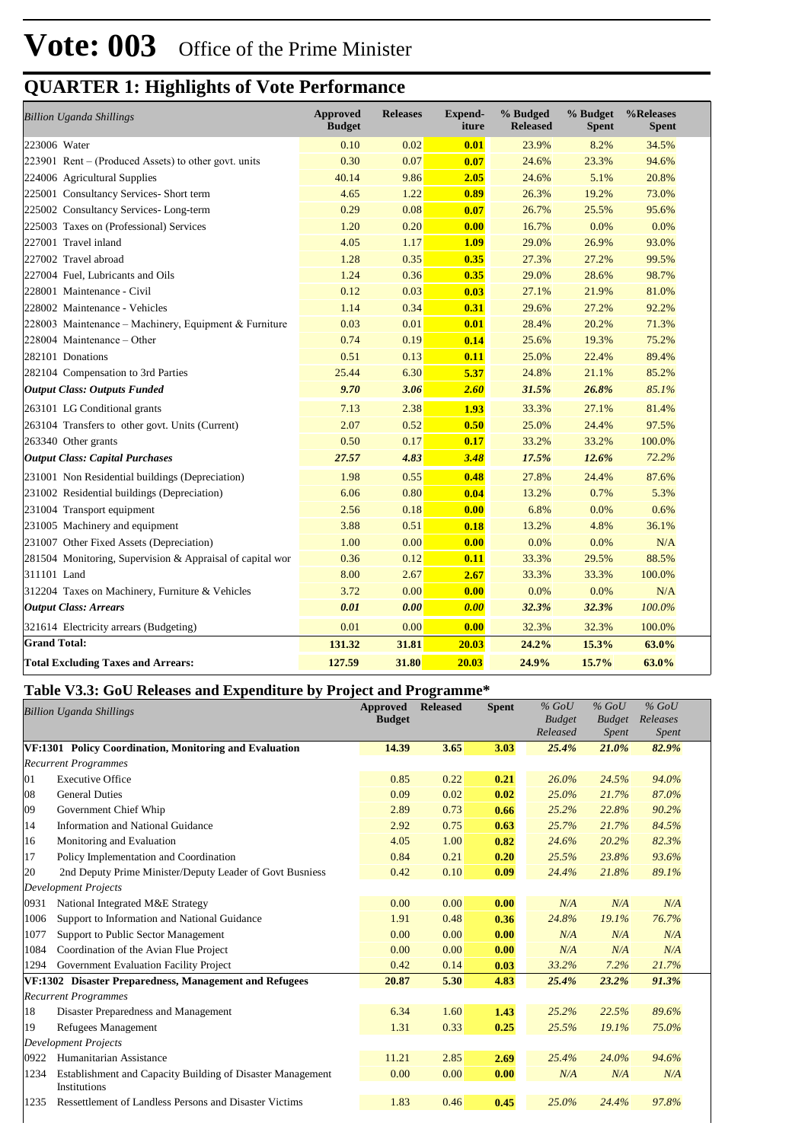| <b>Billion Uganda Shillings</b>                           | <b>Approved</b><br><b>Budget</b> | <b>Releases</b> | <b>Expend-</b><br>iture | % Budged<br><b>Released</b> | % Budget<br><b>Spent</b> | %Releases<br><b>Spent</b> |
|-----------------------------------------------------------|----------------------------------|-----------------|-------------------------|-----------------------------|--------------------------|---------------------------|
| 223006 Water                                              | 0.10                             | 0.02            | 0.01                    | 23.9%                       | 8.2%                     | 34.5%                     |
| $223901$ Rent – (Produced Assets) to other govt. units    | 0.30                             | 0.07            | 0.07                    | 24.6%                       | 23.3%                    | 94.6%                     |
| 224006 Agricultural Supplies                              | 40.14                            | 9.86            | 2.05                    | 24.6%                       | 5.1%                     | 20.8%                     |
| 225001 Consultancy Services- Short term                   | 4.65                             | 1.22            | 0.89                    | 26.3%                       | 19.2%                    | 73.0%                     |
| 225002 Consultancy Services-Long-term                     | 0.29                             | 0.08            | 0.07                    | 26.7%                       | 25.5%                    | 95.6%                     |
| 225003 Taxes on (Professional) Services                   | 1.20                             | 0.20            | 0.00                    | 16.7%                       | 0.0%                     | 0.0%                      |
| 227001 Travel inland                                      | 4.05                             | 1.17            | 1.09                    | 29.0%                       | 26.9%                    | 93.0%                     |
| 227002 Travel abroad                                      | 1.28                             | 0.35            | 0.35                    | 27.3%                       | 27.2%                    | 99.5%                     |
| 227004 Fuel, Lubricants and Oils                          | 1.24                             | 0.36            | 0.35                    | 29.0%                       | 28.6%                    | 98.7%                     |
| 228001 Maintenance - Civil                                | 0.12                             | 0.03            | 0.03                    | 27.1%                       | 21.9%                    | 81.0%                     |
| 228002 Maintenance - Vehicles                             | 1.14                             | 0.34            | 0.31                    | 29.6%                       | 27.2%                    | 92.2%                     |
| 228003 Maintenance - Machinery, Equipment & Furniture     | 0.03                             | 0.01            | 0.01                    | 28.4%                       | 20.2%                    | 71.3%                     |
| 228004 Maintenance - Other                                | 0.74                             | 0.19            | 0.14                    | 25.6%                       | 19.3%                    | 75.2%                     |
| 282101 Donations                                          | 0.51                             | 0.13            | 0.11                    | 25.0%                       | 22.4%                    | 89.4%                     |
| 282104 Compensation to 3rd Parties                        | 25.44                            | 6.30            | 5.37                    | 24.8%                       | 21.1%                    | 85.2%                     |
| <b>Output Class: Outputs Funded</b>                       | 9.70                             | 3.06            | 2.60                    | 31.5%                       | 26.8%                    | 85.1%                     |
| 263101 LG Conditional grants                              | 7.13                             | 2.38            | 1.93                    | 33.3%                       | 27.1%                    | 81.4%                     |
| 263104 Transfers to other govt. Units (Current)           | 2.07                             | 0.52            | 0.50                    | 25.0%                       | 24.4%                    | 97.5%                     |
| 263340 Other grants                                       | 0.50                             | 0.17            | 0.17                    | 33.2%                       | 33.2%                    | 100.0%                    |
| <b>Output Class: Capital Purchases</b>                    | 27.57                            | 4.83            | 3.48                    | 17.5%                       | 12.6%                    | 72.2%                     |
| 231001 Non Residential buildings (Depreciation)           | 1.98                             | 0.55            | 0.48                    | 27.8%                       | 24.4%                    | 87.6%                     |
| 231002 Residential buildings (Depreciation)               | 6.06                             | 0.80            | 0.04                    | 13.2%                       | 0.7%                     | 5.3%                      |
| 231004 Transport equipment                                | 2.56                             | 0.18            | 0.00                    | 6.8%                        | 0.0%                     | 0.6%                      |
| 231005 Machinery and equipment                            | 3.88                             | 0.51            | 0.18                    | 13.2%                       | 4.8%                     | 36.1%                     |
| 231007 Other Fixed Assets (Depreciation)                  | 1.00                             | 0.00            | 0.00                    | 0.0%                        | 0.0%                     | N/A                       |
| 281504 Monitoring, Supervision & Appraisal of capital wor | 0.36                             | 0.12            | 0.11                    | 33.3%                       | 29.5%                    | 88.5%                     |
| 311101 Land                                               | 8.00                             | 2.67            | 2.67                    | 33.3%                       | 33.3%                    | 100.0%                    |
| 312204 Taxes on Machinery, Furniture & Vehicles           | 3.72                             | 0.00            | 0.00                    | 0.0%                        | 0.0%                     | N/A                       |
| <b>Output Class: Arrears</b>                              | 0.01                             | 0.00            | 0.00                    | 32.3%                       | 32.3%                    | 100.0%                    |
| 321614 Electricity arrears (Budgeting)                    | 0.01                             | 0.00            | 0.00                    | 32.3%                       | 32.3%                    | 100.0%                    |
| <b>Grand Total:</b>                                       | 131.32                           | 31.81           | 20.03                   | 24.2%                       | 15.3%                    | 63.0%                     |
| <b>Total Excluding Taxes and Arrears:</b>                 | 127.59                           | 31.80           | 20.03                   | 24.9%                       | 15.7%                    | 63.0%                     |

### **Table V3.3: GoU Releases and Expenditure by Project and Programme\***

|      | <b>Billion Uganda Shillings</b>                            | <b>Approved</b><br><b>Budget</b> | <b>Released</b> | <b>Spent</b> | $%$ GoU<br><b>Budget</b><br>Released | $%$ GoU<br><b>Budget</b><br><i>Spent</i> | $%$ GoU<br>Releases<br><i>Spent</i> |  |
|------|------------------------------------------------------------|----------------------------------|-----------------|--------------|--------------------------------------|------------------------------------------|-------------------------------------|--|
|      | VF:1301 Policy Coordination, Monitoring and Evaluation     | 14.39                            | 3.65            | 3.03         | 25.4%                                | 21.0%                                    | 82.9%                               |  |
|      | <b>Recurrent Programmes</b>                                |                                  |                 |              |                                      |                                          |                                     |  |
| 01   | <b>Executive Office</b>                                    | 0.85                             | 0.22            | 0.21         | $26.0\%$                             | 24.5%                                    | 94.0%                               |  |
| 08   | <b>General Duties</b>                                      | 0.09                             | 0.02            | 0.02         | 25.0%                                | 21.7%                                    | 87.0%                               |  |
| 09   | Government Chief Whip                                      | 2.89                             | 0.73            | 0.66         | 25.2%                                | 22.8%                                    | 90.2%                               |  |
| 14   | Information and National Guidance                          | 2.92                             | 0.75            | 0.63         | 25.7%                                | 21.7%                                    | 84.5%                               |  |
| 16   | Monitoring and Evaluation                                  | 4.05                             | 1.00            | 0.82         | 24.6%                                | 20.2%                                    | 82.3%                               |  |
| 17   | Policy Implementation and Coordination                     | 0.84                             | 0.21            | 0.20         | 25.5%                                | 23.8%                                    | 93.6%                               |  |
| 20   | 2nd Deputy Prime Minister/Deputy Leader of Govt Busniess   | 0.42                             | 0.10            | 0.09         | 24.4%                                | 21.8%                                    | 89.1%                               |  |
|      | <b>Development Projects</b>                                |                                  |                 |              |                                      |                                          |                                     |  |
| 0931 | National Integrated M&E Strategy                           | 0.00                             | 0.00            | 0.00         | N/A                                  | N/A                                      | N/A                                 |  |
| 1006 | Support to Information and National Guidance               | 1.91                             | 0.48            | 0.36         | 24.8%                                | 19.1%                                    | 76.7%                               |  |
| 1077 | Support to Public Sector Management                        | 0.00                             | 0.00            | 0.00         | N/A                                  | N/A                                      | N/A                                 |  |
| 1084 | Coordination of the Avian Flue Project                     | 0.00                             | 0.00            | 0.00         | N/A                                  | N/A                                      | N/A                                 |  |
| 1294 | Government Evaluation Facility Project                     | 0.42                             | 0.14            | 0.03         | 33.2%                                | 7.2%                                     | 21.7%                               |  |
|      | VF:1302 Disaster Preparedness, Management and Refugees     | 20.87                            | 5.30            | 4.83         | 25.4%                                | 23.2%                                    | 91.3%                               |  |
|      | <b>Recurrent Programmes</b>                                |                                  |                 |              |                                      |                                          |                                     |  |
| 18   | Disaster Preparedness and Management                       | 6.34                             | 1.60            | 1.43         | 25.2%                                | 22.5%                                    | 89.6%                               |  |
| 19   | Refugees Management                                        | 1.31                             | 0.33            | 0.25         | 25.5%                                | 19.1%                                    | 75.0%                               |  |
|      | <b>Development Projects</b>                                |                                  |                 |              |                                      |                                          |                                     |  |
| 0922 | Humanitarian Assistance                                    | 11.21                            | 2.85            | 2.69         | 25.4%                                | 24.0%                                    | 94.6%                               |  |
| 1234 | Establishment and Capacity Building of Disaster Management | 0.00                             | 0.00            | 0.00         | N/A                                  | N/A                                      | N/A                                 |  |
|      | Institutions                                               |                                  |                 |              |                                      |                                          |                                     |  |
| 1235 | Ressettlement of Landless Persons and Disaster Victims     | 1.83                             | 0.46            | 0.45         | 25.0%                                | 24.4%                                    | 97.8%                               |  |
|      |                                                            |                                  |                 |              |                                      |                                          |                                     |  |